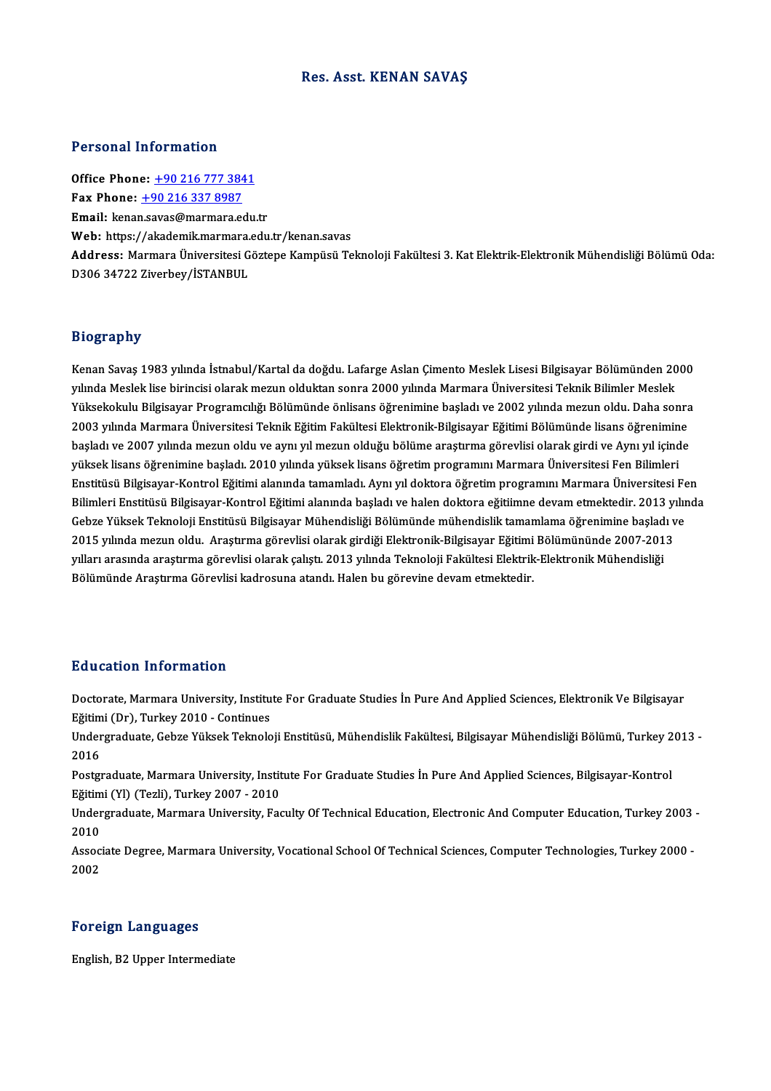#### Res. Asst. KENAN SAVAŞ

#### Personal Information

**Personal Information<br>Office Phone: +90 216 777 3841<br>Fax Phone: +90 216 227 9097** Fax Phone: <u>+90 216 777 384</u><br>Fax Phone: <u>+90 216 337 8987</u><br>Fmail: Jraan sawar@marmara.com Office Phone: <u>+90 216 777 3841</u><br>Fax Phone: <u>+90 216 337 8987</u><br>Email: kena[n.savas@marmara.e](tel:+90 216 337 8987)[du](tel:+90 216 777 3841).tr Fax Phone:  $\pm$ 90 216 337 8987<br>Email: kenan.savas@marmara.edu.tr<br>Web: https://akademik.marmara.edu.tr/kenan.savas Email: kenan.savas@marmara.edu.tr<br>Web: https://akademik.marmara.edu.tr/kenan.savas<br>Address: Marmara Üniversitesi Göztepe Kampüsü Teknoloji Fakültesi 3. Kat Elektrik-Elektronik Mühendisliği Bölümü Oda:<br>D206.24722.7iverbey/İ Web: https://akademik.marmara.<br>Address: Marmara Üniversitesi G<br>D306 34722 Ziverbey/İSTANBUL D306 34722 Ziverbey/İSTANBUL<br>Biography

**Biography<br>Kenan Savaş 1983 yılında İstnabul/Kartal da doğdu. Lafarge Aslan Çimento Meslek Lisesi Bilgisayar Bölümünden 2000<br>yılında Meslek lise biringisi elerek megun elduktan senra 2000 yılında Mermare Üniversitesi Telmi** yılışı upır.<br>Kenan Savaş 1983 yılında İstnabul/Kartal da doğdu. Lafarge Aslan Çimento Meslek Lisesi Bilgisayar Bölümünden 20<br>Yükaekelnılu Bilgiseyer Programalığı Bölümünde önlisens öğrenimine basladı ve 2002 yılında mezun Kenan Savaş 1983 yılında İstnabul/Kartal da doğdu. Lafarge Aslan Çimento Meslek Lisesi Bilgisayar Bölümünden 2000<br>yılında Meslek lise birincisi olarak mezun olduktan sonra 2000 yılında Marmara Üniversitesi Teknik Bilimler yılında Meslek lise birincisi olarak mezun olduktan sonra 2000 yılında Marmara Üniversitesi Teknik Bilimler Meslek<br>1968 Yüksekokulu Bilgisayar Programcılığı Bölümünde önlisans öğrenimine başladı ve 2002 yılında mezun oldu. Yüksekokulu Bilgisayar Programcılığı Bölümünde önlisans öğrenimine başladı ve 2002 yılında mezun oldu. Daha sonra<br>2003 yılında Marmara Üniversitesi Teknik Eğitim Fakültesi Elektronik-Bilgisayar Eğitimi Bölümünde lisans öğr 2003 yılında Marmara Üniversitesi Teknik Eğitim Fakültesi Elektronik-Bilgisayar Eğitimi Bölümünde lisans öğrenimin<br>başladı ve 2007 yılında mezun oldu ve aynı yıl mezun olduğu bölüme araştırma görevlisi olarak girdi ve Aynı başladı ve 2007 yılında mezun oldu ve aynı yıl mezun olduğu bölüme araştırma görevlisi olarak girdi ve Aynı yıl içinde<br>yüksek lisans öğrenimine başladı. 2010 yılında yüksek lisans öğretim programını Marmara Üniversitesi Fe yüksek lisans öğrenimine başladı. 2010 yılında yüksek lisans öğretim programını Marmara Üniversitesi Fen Bilimleri<br>Enstitüsü Bilgisayar-Kontrol Eğitimi alanında tamamladı. Aynı yıl doktora öğretim programını Marmara Üniver Enstitüsü Bilgisayar-Kontrol Eğitimi alanında tamamladı. Aynı yıl doktora öğretim programını Marmara Üniversitesi Fe<br>Bilimleri Enstitüsü Bilgisayar-Kontrol Eğitimi alanında başladı ve halen doktora eğitimne devam etmektedi Bilimleri Enstitüsü Bilgisayar-Kontrol Eğitimi alanında başladı ve halen doktora eğitiimne devam etmektedir. 2013 yı<br>Gebze Yüksek Teknoloji Enstitüsü Bilgisayar Mühendisliği Bölümünde mühendislik tamamlama öğrenimine başla Gebze Yüksek Teknoloji Enstitüsü Bilgisayar Mühendisliği Bölümünde mühendislik tamamlama öğrenimine başlad<br>2015 yılında mezun oldu. Araştırma görevlisi olarak girdiği Elektronik-Bilgisayar Eğitimi Bölümününde 2007-201<br>yıl 2015 yılında mezun oldu. Araştırma görevlisi olarak girdiği Elektronik-Bilgisayar Eğitimi Bölümününde 2007-2013<br>1991-yılları arasında araştırma görevlisi olarak çalıştı. 2013 yılında Teknoloji Fakültesi Elektrik-Elektroni

### Education Information

E**ducation Information**<br>Doctorate, Marmara University, Institute For Graduate Studies İn Pure And Applied Sciences, Elektronik Ve Bilgisayar<br>Fğitimi (Dr), Turkay 2010, Continues Eu acation Tirror macron<br>Doctorate, Marmara University, Institu<br>Eğitimi (Dr), Turkey 2010 - Continues<br>Undergreduate Cebre Vülrek Telmele Doctorate, Marmara University, Institute For Graduate Studies İn Pure And Applied Sciences, Elektronik Ve Bilgisayar<br>Eğitimi (Dr), Turkey 2010 - Continues<br>Undergraduate, Gebze Yüksek Teknoloji Enstitüsü, Mühendislik Fakült

Eğitim<br>Under<br>2016 Undergraduate, Gebze Yüksek Teknoloji Enstitüsü, Mühendislik Fakültesi, Bilgisayar Mühendisliği Bölümü, Turkey 2<br>2016<br>Postgraduate, Marmara University, Institute For Graduate Studies İn Pure And Applied Sciences, Bilgisaya 2016<br>Postgraduate, Marmara University, Institute For Graduate Studies İn Pure And Applied Sciences, Bilgisayar-Kontrol

Postgraduate, Marmara University, Institute For Graduate Studies İn Pure And Applied Sciences, Bilgisayar-Kontrol<br>Eğitimi (Yl) (Tezli), Turkey 2007 - 2010<br>Undergraduate, Marmara University, Faculty Of Technical Education,

Eğitimi (Yl) (Tezli), Turkey 2007 - 2010<br>Undergraduate, Marmara University, Fa<br>2010 Undergraduate, Marmara University, Faculty Of Technical Education, Electronic And Computer Education, Turkey 2003<br>2010<br>Associate Degree, Marmara University, Vocational School Of Technical Sciences, Computer Technologies, T

Associate Degree, Marmara University, Vocational School Of Technical Sciences, Computer Technologies, Turkey 2000 -<br>2002

#### Foreign Languages

English,B2Upper Intermediate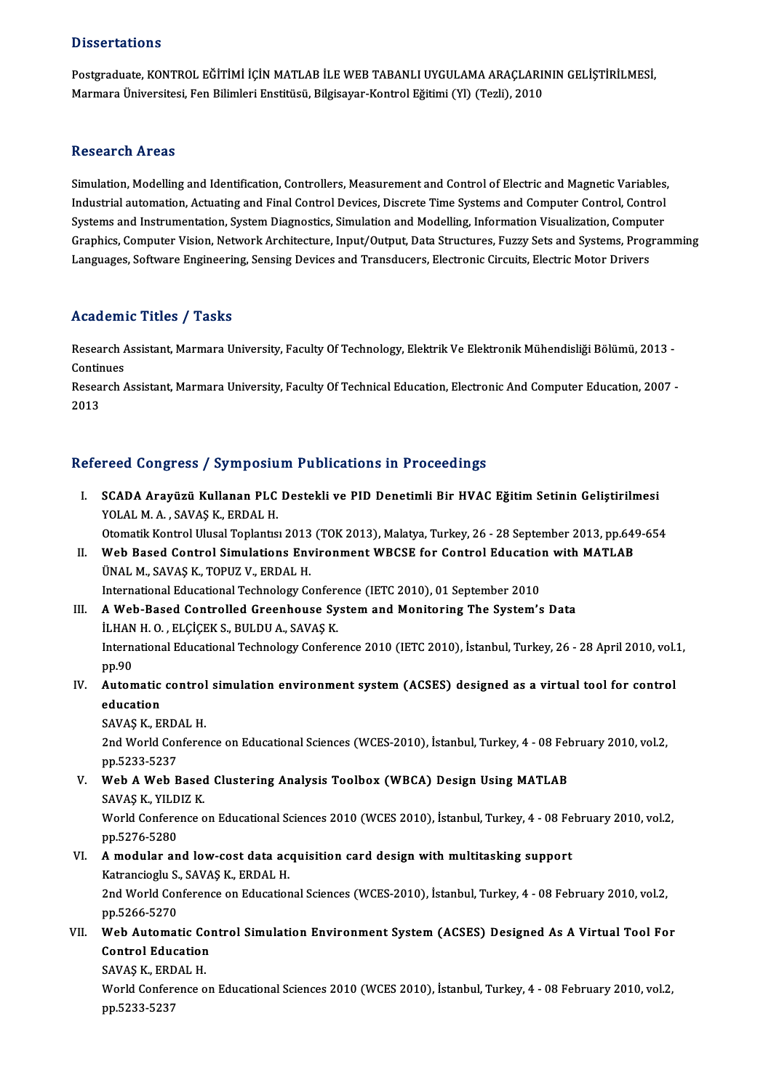#### **Dissertations**

Dissertations<br>Postgraduate, KONTROL EĞİTİMİ İÇİN MATLAB İLE WEB TABANLI UYGULAMA ARAÇLARININ GELİŞTİRİLMESİ,<br>Marmara Üniversitesi, Fen Bilimleri Enstitüsü, Bilgiseyer Kontrol Eğitimi (VI) (Tegli), 2010 D'ISSOI tationis<br>Postgraduate, KONTROL EĞİTİMİ İÇİN MATLAB İLE WEB TABANLI UYGULAMA ARAÇLARII<br>Marmara Üniversitesi, Fen Bilimleri Enstitüsü, Bilgisayar-Kontrol Eğitimi (Yl) (Tezli), 2010 Marmara Üniversitesi, Fen Bilimleri Enstitüsü, Bilgisayar-Kontrol Eğitimi (Yl) (Tezli), 2010<br>Research Areas

Research Areas<br>Simulation, Modelling and Identification, Controllers, Measurement and Control of Electric and Magnetic Variables,<br>Industrial automation, Astuating and Einel Control Davises, Disenste Time Systems and Comput Induction, Modelling and Identification, Controllers, Measurement and Control of Electric and Magnetic Variables,<br>Industrial automation, Actuating and Final Control Devices, Discrete Time Systems and Computer Control, Cont Simulation, Modelling and Identification, Controllers, Measurement and Control of Electric and Magnetic Variables<br>Industrial automation, Actuating and Final Control Devices, Discrete Time Systems and Computer Control, Cont Industrial automation, Actuating and Final Control Devices, Discrete Time Systems and Computer Control, Control<br>Systems and Instrumentation, System Diagnostics, Simulation and Modelling, Information Visualization, Computer Systems and Instrumentation, System Diagnostics, Simulation and Modelling, Information Visualization, Computer

### Academic Titles / Tasks

**Academic Titles / Tasks**<br>Research Assistant, Marmara University, Faculty Of Technology, Elektrik Ve Elektronik Mühendisliği Bölümü, 2013 -<br>Continues Research A<br>Continues<br>Pesearch A Research Assistant, Marmara University, Faculty Of Technology, Elektrik Ve Elektronik Mühendisliği Bölümü, 2013 -<br>Continues<br>Research Assistant, Marmara University, Faculty Of Technical Education, Electronic And Computer Ed

Contir<br>Resea<br>2013

# 2013<br>Refereed Congress / Symposium Publications in Proceedings

- efereed Congress / Symposium Publications in Proceedings<br>I. SCADA Arayüzü Kullanan PLC Destekli ve PID Denetimli Bir HVAC Eğitim Setinin Geliştirilmesi<br>VOLALMA SAVAS K. ERRALH YOLALM.<br>SCADA Arayüzü Kullanan PLC<br>YOLAL M. A., SAVAŞ K., ERDAL H.<br>Otomatik Kontrol Ulusel Tenlantısı SCADA Arayüzü Kullanan PLC Destekli ve PID Denetimli Bir HVAC Eğitim Setinin Geliştirilmesi<br>YOLAL M. A., SAVAŞ K., ERDAL H.<br>Otomatik Kontrol Ulusal Toplantısı 2013 (TOK 2013), Malatya, Turkey, 26 - 28 September 2013, pp.64 YOLAL M. A., SAVAŞ K., ERDAL H.<br>Otomatik Kontrol Ulusal Toplantısı 2013 (TOK 2013), Malatya, Turkey, 26 - 28 September 2013, pp.649<br>II. Web Based Control Simulations Environment WBCSE for Control Education with MATLAB
- Otomatik Kontrol Ulusal Toplantısı 2013<br>Web Based Control Simulations Env<br>ÜNAL M., SAVAŞ K., TOPUZ V., ERDAL H.<br>International Educational Technology Co II. Web Based Control Simulations Environment WBCSE for Control Education with MATLAB<br>ÜNAL M., SAVAŞ K., TOPUZ V., ERDAL H.<br>International Educational Technology Conference (IETC 2010), 01 September 2010
- UNAL M., SAVAŞ K., TOPUZ V., ERDAL H.<br>International Educational Technology Conference (IETC 2010), 01 September 2010<br>III. A Web-Based Controlled Greenhouse System and Monitoring The System's Data<br>II HANH O. ELGEK S. PIH DI International Educational Technology Confere<br>A Web-Based Controlled Greenhouse Sy<br>İLHAN H. O. , ELÇİÇEK S., BULDU A., SAVAŞ K.<br>International Educational Technology Confere A Web-Based Controlled Greenhouse System and Monitoring The System's Data<br>İLHAN H. O. , ELÇİÇEK S., BULDU A., SAVAŞ K.<br>International Educational Technology Conference 2010 (IETC 2010), İstanbul, Turkey, 26 - 28 April 2010, **iLHAN**<br>Intern<br>pp.90<br>Autor International Educational Technology Conference 2010 (IETC 2010), İstanbul, Turkey, 26 - 28 April 2010, vol.<br>
IV. Automatic control simulation environment system (ACSES) designed as a virtual tool for control<br>
control solu
- pp.90<br>Automatic<br>education<br>SAVAS K. El Automatic control<br>education<br>SAVAŞ K., ERDAL H.<br>2nd World Conferer

education<br>SAVAŞ K., ERDAL H.<br>2nd World Conference on Educational Sciences (WCES-2010), İstanbul, Turkey, 4 - 08 February 2010, vol.2,<br>nn 5233 5237 SAVAŞ K., ERD<br>2nd World Cor<br>pp.5233-5237<br>Wob A Wob E 2nd World Conference on Educational Sciences (WCES-2010), İstanbul, Turkey, 4 - 08 Fel<br>pp.5233-5237<br>V. Web A Web Based Clustering Analysis Toolbox (WBCA) Design Using MATLAB<br>SAVAS K VILDIZ K

pp.5233-5237<br>Web A Web Based<br>SAVAŞ K., YILDIZ K.<br>Werld Conference e SAVAŞ K., YILDIZ K.

World Conference on Educational Sciences 2010 (WCES 2010), İstanbul, Turkey, 4 - 08 February 2010, vol.2, pp.5276-5280 World Conference on Educational Sciences 2010 (WCES 2010), İstanbul, Turkey, 4 - 08 Fe<br>pp.5276-5280<br>VI. Amodular and low-cost data acquisition card design with multitasking support<br>Vetrensiscly S. SAVAS K. EPDAL H

## pp.5276-5280<br>A modular and low-cost data ac<br>Katrancioglu S., SAVAŞ K., ERDAL H.<br>2nd World Conference en Education Katrancioglu S., SAVAŞ K., ERDAL H.

2nd World Conference on Educational Sciences (WCES-2010), İstanbul, Turkey, 4 - 08 February 2010, vol.2, pp.5266-5270 2nd World Conference on Educational Sciences (WCES-2010), İstanbul, Turkey, 4 - 08 February 2010, vol.2,<br>pp.5266-5270<br>VII. Web Automatic Control Simulation Environment System (ACSES) Designed As A Virtual Tool For<br>Control

# pp.5266-5270<br>Web Automatic Col<br>Control Education<br>SAVAS K. EPDAL H Web Automatic Co<br>Control Education<br>SAVAŞ K., ERDAL H.<br>World Conference o

Control Education<br>SAVAŞ K., ERDAL H.<br>World Conference on Educational Sciences 2010 (WCES 2010), İstanbul, Turkey, 4 - 08 February 2010, vol.2,<br>nn 5233 5237 SAVAŞ K., ERD<br>World Confer<br>pp.5233-5237